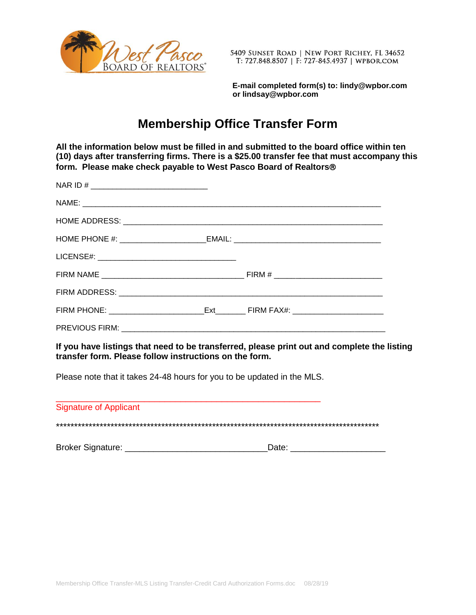

5409 SUNSET ROAD | NEW PORT RICHEY, FL 34652 T: 727.848.8507 | F: 727-845.4937 | WPBOR.COM

 **E-mail completed form(s) to: lindy@wpbor.com or lindsay@wpbor.com**

## **Membership Office Transfer Form**

**All the information below must be filled in and submitted to the board office within ten (10) days after transferring firms. There is a \$25.00 transfer fee that must accompany this form. Please make check payable to West Pasco Board of Realtors**

| NAR ID # ________________________________                                         |  |
|-----------------------------------------------------------------------------------|--|
|                                                                                   |  |
|                                                                                   |  |
| HOME PHONE #: ___________________________EMAIL: _________________________________ |  |
|                                                                                   |  |
|                                                                                   |  |
|                                                                                   |  |
|                                                                                   |  |
|                                                                                   |  |

**If you have listings that need to be transferred, please print out and complete the listing transfer form. Please follow instructions on the form.**

Please note that it takes 24-48 hours for you to be updated in the MLS.

| <b>Signature of Applicant</b> |       |
|-------------------------------|-------|
|                               |       |
| <b>Broker Signature:</b>      | Date: |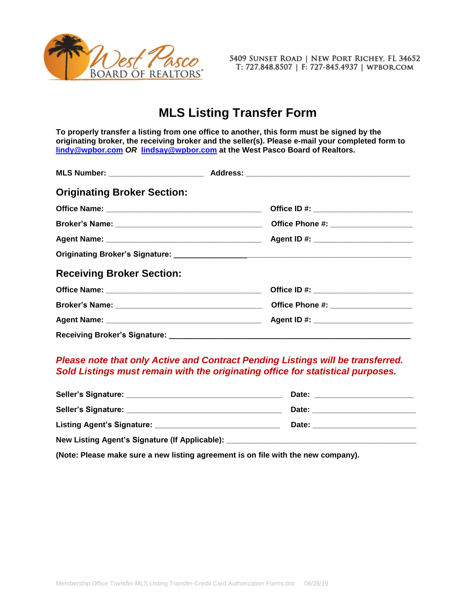

5409 SUNSET ROAD | NEW PORT RICHEY, FL 34652 T: 727.848.8507 | F: 727-845.4937 | WPBOR.COM

## **MLS Listing Transfer Form**

**To properly transfer a listing from one office to another, this form must be signed by the originating broker, the receiving broker and the seller(s). Please e-mail your completed form to [lindy@wpbor.com](mailto:lindy@wpbor.com)** *OR* **[lindsay@wpbor.com](mailto:lindsay@wpbor.com) at the West Pasco Board of Realtors.**

| <b>Originating Broker Section:</b> |  |
|------------------------------------|--|
|                                    |  |
|                                    |  |
|                                    |  |
|                                    |  |
| <b>Receiving Broker Section:</b>   |  |
|                                    |  |
|                                    |  |
|                                    |  |
|                                    |  |

## *Please note that only Active and Contract Pending Listings will be transferred. Sold Listings must remain with the originating office for statistical purposes.*

|                                                  | Date:                                                                                                                                                                                                                          |  |
|--------------------------------------------------|--------------------------------------------------------------------------------------------------------------------------------------------------------------------------------------------------------------------------------|--|
|                                                  | Date: the contract of the contract of the contract of the contract of the contract of the contract of the contract of the contract of the contract of the contract of the contract of the contract of the contract of the cont |  |
| Listing Agent's Signature: _______________       | Date:                                                                                                                                                                                                                          |  |
| New Listing Agent's Signature (If Applicable): _ |                                                                                                                                                                                                                                |  |

**(Note: Please make sure a new listing agreement is on file with the new company).**